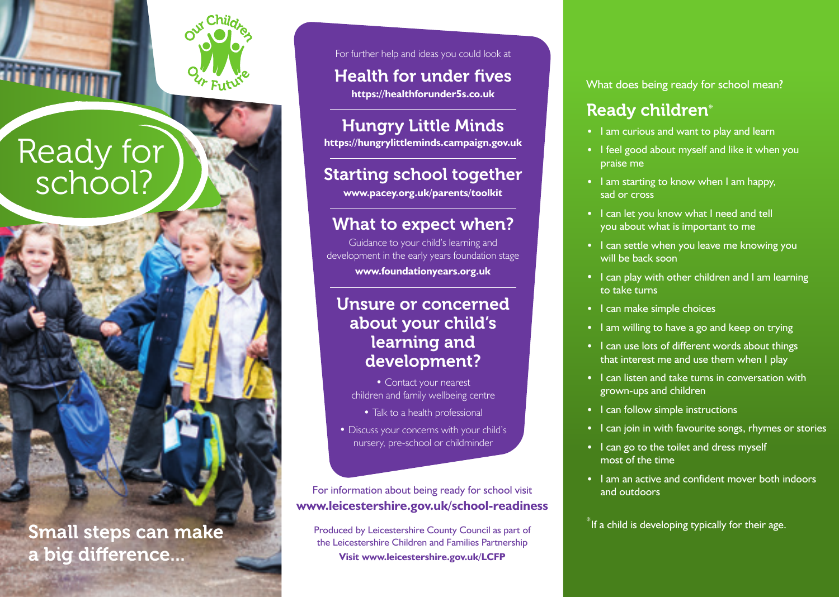

Ready for

school?



For further help and ideas you could look at

Health for under fives **https://healthforunder5s.co.uk**

Hungry Little Minds

**https://hungrylittleminds.campaign.gov.uk**

## Starting school together

**www.pacey.org.uk/parents/toolkit**

## What to expect when?

Guidance to your child's learning and development in the early years foundation stage **www.foundationyears.org.uk** 

## Unsure or concerned about your child's learning and development?

- Contact your nearest children and family wellbeing centre
	- Talk to a health professional
- Discuss your concerns with your child's nursery, pre-school or childminder

For information about being ready for school visit **www.leicestershire.gov.uk/school-readiness**

Produced by Leicestershire County Council as part of the Leicestershire Children and Families Partnership **Visit www.leicestershire.gov.uk/LCFP**

What does being ready for school mean?

## Ready children\*

- I am curious and want to play and learn
- I feel good about myself and like it when you praise me
- I am starting to know when I am happy, sad or cross
- I can let you know what I need and tell you about what is important to me
- I can settle when you leave me knowing you will be back soon
- I can play with other children and I am learning to take turns
- I can make simple choices
- I am willing to have a go and keep on trying
- I can use lots of different words about things that interest me and use them when I play
- I can listen and take turns in conversation with grown-ups and children
- I can follow simple instructions
- I can join in with favourite songs, rhymes or stories
- I can go to the toilet and dress myself most of the time
- I am an active and confident mover both indoors and outdoors

Small steps can make the structured by Leicestershire County Council as part of the strate of their age. a big difference...